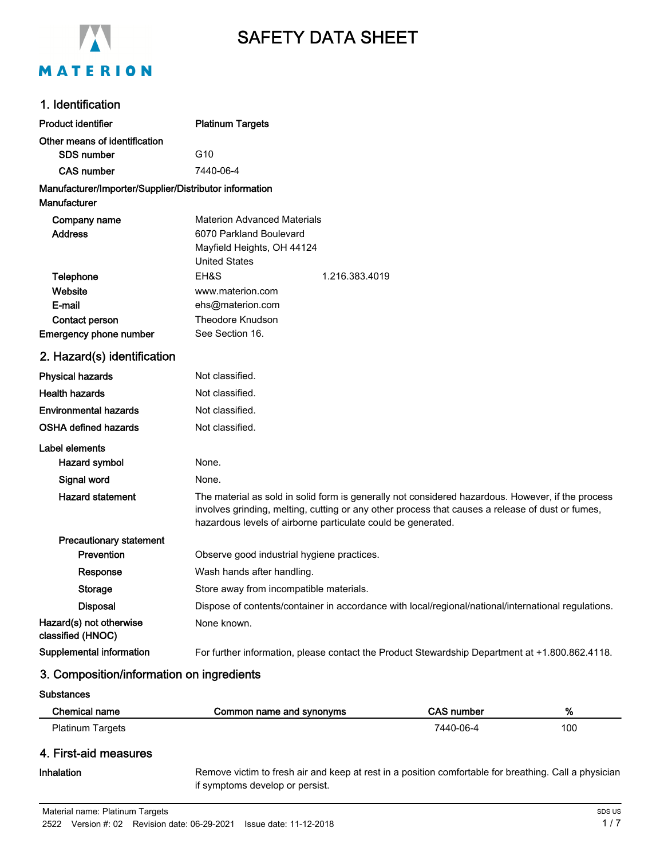

# SAFETY DATA SHEET

## 1. Identification

| <b>Product identifier</b>                              | <b>Platinum Targets</b>                                                                                                                                                                                                                                               |
|--------------------------------------------------------|-----------------------------------------------------------------------------------------------------------------------------------------------------------------------------------------------------------------------------------------------------------------------|
| Other means of identification                          |                                                                                                                                                                                                                                                                       |
| <b>SDS number</b>                                      | G10                                                                                                                                                                                                                                                                   |
| <b>CAS number</b>                                      | 7440-06-4                                                                                                                                                                                                                                                             |
| Manufacturer/Importer/Supplier/Distributor information |                                                                                                                                                                                                                                                                       |
| <b>Manufacturer</b>                                    |                                                                                                                                                                                                                                                                       |
| Company name                                           | <b>Materion Advanced Materials</b>                                                                                                                                                                                                                                    |
| <b>Address</b>                                         | 6070 Parkland Boulevard                                                                                                                                                                                                                                               |
|                                                        | Mayfield Heights, OH 44124                                                                                                                                                                                                                                            |
|                                                        | <b>United States</b>                                                                                                                                                                                                                                                  |
| Telephone                                              | EH&S<br>1.216.383.4019                                                                                                                                                                                                                                                |
| Website<br>E-mail                                      | www.materion.com<br>ehs@materion.com                                                                                                                                                                                                                                  |
| Contact person                                         | <b>Theodore Knudson</b>                                                                                                                                                                                                                                               |
| Emergency phone number                                 | See Section 16.                                                                                                                                                                                                                                                       |
| 2. Hazard(s) identification                            |                                                                                                                                                                                                                                                                       |
| <b>Physical hazards</b>                                | Not classified.                                                                                                                                                                                                                                                       |
| <b>Health hazards</b>                                  | Not classified.                                                                                                                                                                                                                                                       |
| <b>Environmental hazards</b>                           | Not classified.                                                                                                                                                                                                                                                       |
| <b>OSHA defined hazards</b>                            | Not classified.                                                                                                                                                                                                                                                       |
| Label elements                                         |                                                                                                                                                                                                                                                                       |
| Hazard symbol                                          | None.                                                                                                                                                                                                                                                                 |
| Signal word                                            | None.                                                                                                                                                                                                                                                                 |
| <b>Hazard statement</b>                                | The material as sold in solid form is generally not considered hazardous. However, if the process<br>involves grinding, melting, cutting or any other process that causes a release of dust or fumes,<br>hazardous levels of airborne particulate could be generated. |
| <b>Precautionary statement</b>                         |                                                                                                                                                                                                                                                                       |
| Prevention                                             | Observe good industrial hygiene practices.                                                                                                                                                                                                                            |
| Response                                               | Wash hands after handling.                                                                                                                                                                                                                                            |
| <b>Storage</b>                                         | Store away from incompatible materials.                                                                                                                                                                                                                               |
| Disposal                                               | Dispose of contents/container in accordance with local/regional/national/international regulations.                                                                                                                                                                   |
| Hazard(s) not otherwise<br>classified (HNOC)           | None known.                                                                                                                                                                                                                                                           |
| Supplemental information                               | For further information, please contact the Product Stewardship Department at +1.800.862.4118.                                                                                                                                                                        |

#### 3. Composition/information on ingredients

Chemical name Common name and synonyms CAS number 2014 Platinum Targets 100

## 4. First-aid measures

#### Inhalation

**Substances** 

Remove victim to fresh air and keep at rest in a position comfortable for breathing. Call a physician if symptoms develop or persist.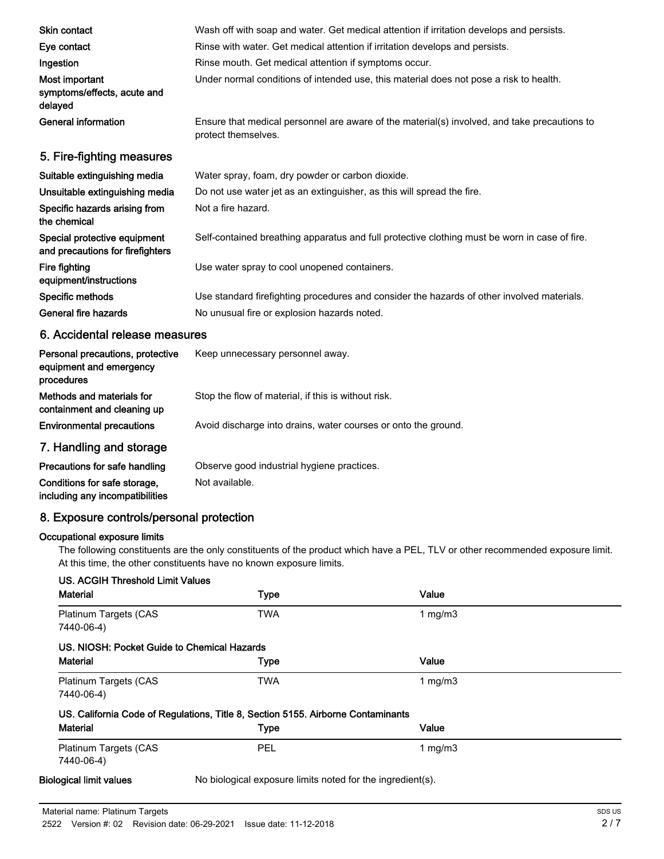| Skin contact                                                     | Wash off with soap and water. Get medical attention if irritation develops and persists.                            |
|------------------------------------------------------------------|---------------------------------------------------------------------------------------------------------------------|
| Eye contact                                                      | Rinse with water. Get medical attention if irritation develops and persists.                                        |
| Ingestion                                                        | Rinse mouth. Get medical attention if symptoms occur.                                                               |
| Most important<br>symptoms/effects, acute and<br>delayed         | Under normal conditions of intended use, this material does not pose a risk to health.                              |
| General information                                              | Ensure that medical personnel are aware of the material(s) involved, and take precautions to<br>protect themselves. |
| 5. Fire-fighting measures                                        |                                                                                                                     |
| Suitable extinguishing media                                     | Water spray, foam, dry powder or carbon dioxide.                                                                    |
| Unsuitable extinguishing media                                   | Do not use water jet as an extinguisher, as this will spread the fire.                                              |
| Specific hazards arising from<br>the chemical                    | Not a fire hazard.                                                                                                  |
| Special protective equipment<br>and precautions for firefighters | Self-contained breathing apparatus and full protective clothing must be worn in case of fire.                       |
| Fire fighting<br>equipment/instructions                          | Use water spray to cool unopened containers.                                                                        |
| Specific methods                                                 | Use standard firefighting procedures and consider the hazards of other involved materials.                          |
| General fire hazards                                             | No unusual fire or explosion hazards noted.                                                                         |
|                                                                  |                                                                                                                     |

#### 6. Accidental release measures

| Personal precautions, protective<br>equipment and emergency<br>procedures | Keep unnecessary personnel away.                               |
|---------------------------------------------------------------------------|----------------------------------------------------------------|
| Methods and materials for<br>containment and cleaning up                  | Stop the flow of material, if this is without risk.            |
| <b>Environmental precautions</b>                                          | Avoid discharge into drains, water courses or onto the ground. |
| 7. Handling and storage                                                   |                                                                |
| Precautions for safe handling                                             | Observe good industrial hygiene practices.                     |
| Conditions for safe storage,<br>including any incompatibilities           | Not available.                                                 |

## 8. Exposure controls/personal protection

#### Occupational exposure limits

The following constituents are the only constituents of the product which have a PEL, TLV or other recommended exposure limit. At this time, the other constituents have no known exposure limits.

| <b>Material</b>                             | <b>Type</b>                                                                      | Value      |  |
|---------------------------------------------|----------------------------------------------------------------------------------|------------|--|
| Platinum Targets (CAS<br>7440-06-4)         | <b>TWA</b>                                                                       | 1 mg/m $3$ |  |
| US. NIOSH: Pocket Guide to Chemical Hazards |                                                                                  |            |  |
| <b>Material</b>                             | <b>Type</b>                                                                      | Value      |  |
| Platinum Targets (CAS<br>7440-06-4)         | <b>TWA</b>                                                                       | 1 $mq/m3$  |  |
|                                             | US. California Code of Regulations, Title 8, Section 5155. Airborne Contaminants |            |  |
| <b>Material</b>                             | <b>Type</b>                                                                      | Value      |  |
| Platinum Targets (CAS<br>7440-06-4)         | <b>PEL</b>                                                                       | 1 mg/m $3$ |  |
| <b>Biological limit values</b>              | No biological exposure limits noted for the ingredient(s).                       |            |  |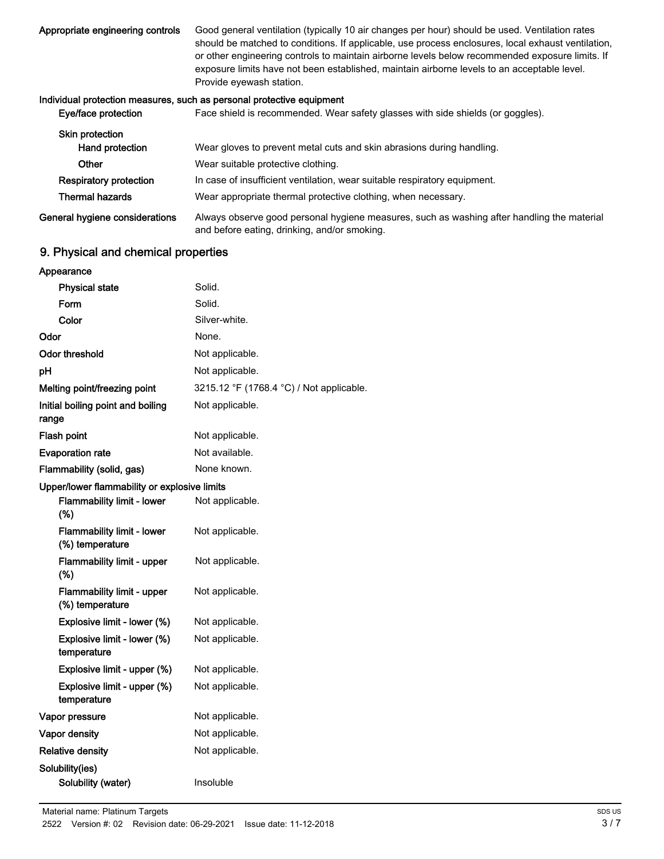Good general ventilation (typically 10 air changes per hour) should be used. Ventilation rates should be matched to conditions. If applicable, use process enclosures, local exhaust ventilation, or other engineering controls to maintain airborne levels below recommended exposure limits. If exposure limits have not been established, maintain airborne levels to an acceptable level. Provide eyewash station. Appropriate engineering controls

#### Individual protection measures, such as personal protective equipment

| Eye/face protection            | Face shield is recommended. Wear safety glasses with side shields (or goggles).                                                            |
|--------------------------------|--------------------------------------------------------------------------------------------------------------------------------------------|
| <b>Skin protection</b>         |                                                                                                                                            |
| Hand protection                | Wear gloves to prevent metal cuts and skin abrasions during handling.                                                                      |
| Other                          | Wear suitable protective clothing.                                                                                                         |
| <b>Respiratory protection</b>  | In case of insufficient ventilation, wear suitable respiratory equipment.                                                                  |
| <b>Thermal hazards</b>         | Wear appropriate thermal protective clothing, when necessary.                                                                              |
| General hygiene considerations | Always observe good personal hygiene measures, such as washing after handling the material<br>and before eating, drinking, and/or smoking. |

## 9. Physical and chemical properties

| Appearance                                           |                                          |
|------------------------------------------------------|------------------------------------------|
| <b>Physical state</b>                                | Solid.                                   |
| Form                                                 | Solid.                                   |
| Color                                                | Silver-white.                            |
| Odor                                                 | None.                                    |
| <b>Odor threshold</b>                                | Not applicable.                          |
| pH                                                   | Not applicable.                          |
| Melting point/freezing point                         | 3215.12 °F (1768.4 °C) / Not applicable. |
| Initial boiling point and boiling<br>range           | Not applicable.                          |
| <b>Flash point</b>                                   | Not applicable.                          |
| <b>Evaporation rate</b>                              | Not available.                           |
| Flammability (solid, gas)                            | None known.                              |
| Upper/lower flammability or explosive limits         |                                          |
| <b>Flammability limit - lower</b><br>(%)             | Not applicable.                          |
| <b>Flammability limit - lower</b><br>(%) temperature | Not applicable.                          |
| <b>Flammability limit - upper</b><br>(%)             | Not applicable.                          |
| <b>Flammability limit - upper</b><br>(%) temperature | Not applicable.                          |
| Explosive limit - lower (%)                          | Not applicable.                          |
| Explosive limit - lower (%)<br>temperature           | Not applicable.                          |
| Explosive limit - upper (%)                          | Not applicable.                          |
| Explosive limit - upper (%)<br>temperature           | Not applicable.                          |
| Vapor pressure                                       | Not applicable.                          |
| Vapor density                                        | Not applicable.                          |
| <b>Relative density</b>                              | Not applicable.                          |
| Solubility(ies)                                      |                                          |
| Solubility (water)                                   | Insoluble                                |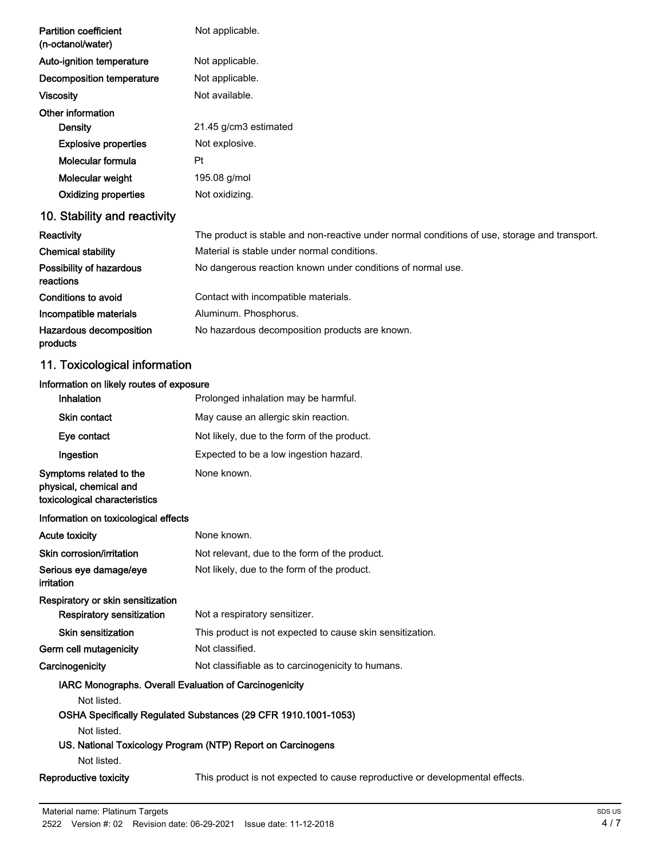| <b>Partition coefficient</b><br>(n-octanol/water) | Not applicable.                                                                               |
|---------------------------------------------------|-----------------------------------------------------------------------------------------------|
| Auto-ignition temperature                         | Not applicable.                                                                               |
| Decomposition temperature                         | Not applicable.                                                                               |
| <b>Viscosity</b>                                  | Not available.                                                                                |
| Other information                                 |                                                                                               |
| Density                                           | 21.45 g/cm3 estimated                                                                         |
| <b>Explosive properties</b>                       | Not explosive.                                                                                |
| Molecular formula                                 | Pt                                                                                            |
| Molecular weight                                  | 195.08 g/mol                                                                                  |
| <b>Oxidizing properties</b>                       | Not oxidizing.                                                                                |
| 10. Stability and reactivity                      |                                                                                               |
| Reactivity                                        | The product is stable and non-reactive under normal conditions of use, storage and transport. |
| <b>Chemical stability</b>                         | Material is stable under normal conditions.                                                   |
| Possibility of hazardous<br>reactions             | No dangerous reaction known under conditions of normal use.                                   |
| Conditions to avoid                               | Contact with incompatible materials.                                                          |
| Incompatible materials                            | Aluminum. Phosphorus.                                                                         |
| Hazardous decomposition<br>products               | No hazardous decomposition products are known.                                                |
| 11. Toxicological information                     |                                                                                               |
| Information on likely routes of exposure          |                                                                                               |
| Inhalation                                        | Prolonged inhalation may be harmful.                                                          |

## Skin contact May cause an allergic skin reaction. Eye contact Not likely, due to the form of the product. Ingestion Expected to be a low ingestion hazard. Symptoms related to the physical, chemical and toxicological characteristics None known. Information on toxicological effects Acute toxicity **None known**. Skin corrosion/irritation Not relevant, due to the form of the product. Serious eye damage/eye Not likely, due to the form of the product. irritation Respiratory or skin sensitization Respiratory sensitization Not a respiratory sensitizer. Skin sensitization This product is not expected to cause skin sensitization. Germ cell mutagenicity **Not classified.** Carcinogenicity Mot classifiable as to carcinogenicity to humans. IARC Monographs. Overall Evaluation of Carcinogenicity Not listed. OSHA Specifically Regulated Substances (29 CFR 1910.1001-1053) Not listed. US. National Toxicology Program (NTP) Report on Carcinogens Not listed. Reproductive toxicity This product is not expected to cause reproductive or developmental effects.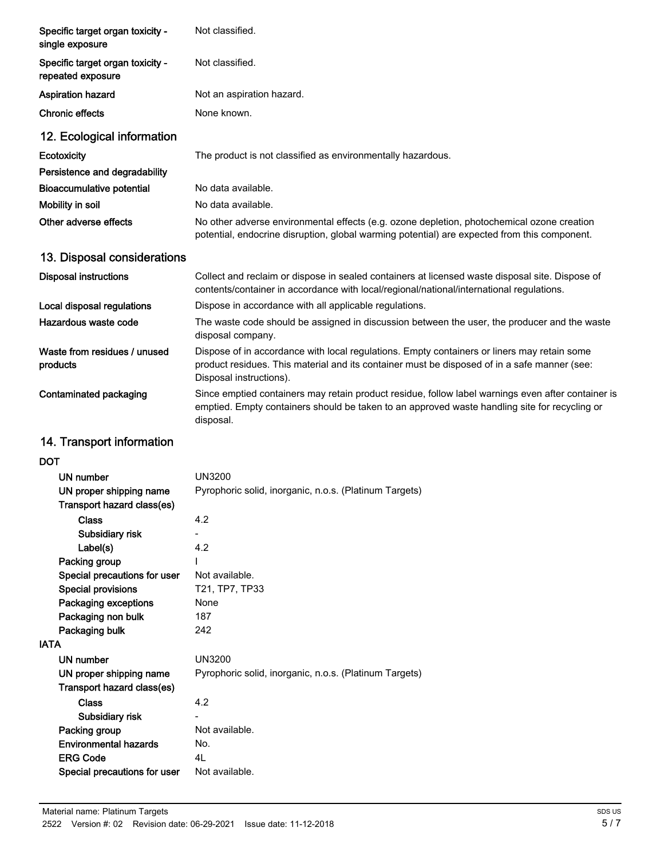| Specific target organ toxicity -<br>single exposure   | Not classified.                                                                                                                                                                                                        |
|-------------------------------------------------------|------------------------------------------------------------------------------------------------------------------------------------------------------------------------------------------------------------------------|
| Specific target organ toxicity -<br>repeated exposure | Not classified.                                                                                                                                                                                                        |
| <b>Aspiration hazard</b>                              | Not an aspiration hazard.                                                                                                                                                                                              |
| <b>Chronic effects</b>                                | None known.                                                                                                                                                                                                            |
| 12. Ecological information                            |                                                                                                                                                                                                                        |
| Ecotoxicity                                           | The product is not classified as environmentally hazardous.                                                                                                                                                            |
| Persistence and degradability                         |                                                                                                                                                                                                                        |
| <b>Bioaccumulative potential</b>                      | No data available.                                                                                                                                                                                                     |
| Mobility in soil                                      | No data available.                                                                                                                                                                                                     |
| Other adverse effects                                 | No other adverse environmental effects (e.g. ozone depletion, photochemical ozone creation<br>potential, endocrine disruption, global warming potential) are expected from this component.                             |
| 13. Disposal considerations                           |                                                                                                                                                                                                                        |
| <b>Disposal instructions</b>                          | Collect and reclaim or dispose in sealed containers at licensed waste disposal site. Dispose of<br>contents/container in accordance with local/regional/national/international regulations.                            |
| Local disposal regulations                            | Dispose in accordance with all applicable regulations.                                                                                                                                                                 |
| Hazardous waste code                                  | The waste code should be assigned in discussion between the user, the producer and the waste<br>disposal company.                                                                                                      |
| Waste from residues / unused<br>products              | Dispose of in accordance with local regulations. Empty containers or liners may retain some<br>product residues. This material and its container must be disposed of in a safe manner (see:<br>Disposal instructions). |
| Contaminated packaging                                | Since emptied containers may retain product residue, follow label warnings even after container is<br>emptied. Empty containers should be taken to an approved waste handling site for recycling or<br>disposal.       |
| 14. Transport information                             |                                                                                                                                                                                                                        |
| <b>DOT</b>                                            |                                                                                                                                                                                                                        |
| UN number                                             | <b>UN3200</b>                                                                                                                                                                                                          |
| UN proper shipping name                               | Pyrophoric solid, inorganic, n.o.s. (Platinum Targets)                                                                                                                                                                 |
| Transport hazard class(es)                            |                                                                                                                                                                                                                        |
| <b>Class</b>                                          | 4.2                                                                                                                                                                                                                    |
| Subsidiary risk                                       |                                                                                                                                                                                                                        |
| Label(s)                                              | 4.2                                                                                                                                                                                                                    |
| Packing group                                         |                                                                                                                                                                                                                        |
| Special precautions for user                          | Not available.<br>T21, TP7, TP33                                                                                                                                                                                       |
| <b>Special provisions</b><br>Packaging exceptions     | None                                                                                                                                                                                                                   |
| Packaging non bulk                                    | 187                                                                                                                                                                                                                    |
| Packaging bulk                                        | 242                                                                                                                                                                                                                    |
| <b>IATA</b>                                           |                                                                                                                                                                                                                        |
| <b>UN number</b>                                      | <b>UN3200</b>                                                                                                                                                                                                          |
| UN proper shipping name<br>Transport hazard class(es) | Pyrophoric solid, inorganic, n.o.s. (Platinum Targets)                                                                                                                                                                 |
| <b>Class</b>                                          | 4.2                                                                                                                                                                                                                    |
| Subsidiary risk                                       |                                                                                                                                                                                                                        |
| Packing group                                         | Not available.                                                                                                                                                                                                         |
| <b>Environmental hazards</b>                          | No.                                                                                                                                                                                                                    |
| <b>ERG Code</b>                                       | 4L                                                                                                                                                                                                                     |
| Special precautions for user                          | Not available.                                                                                                                                                                                                         |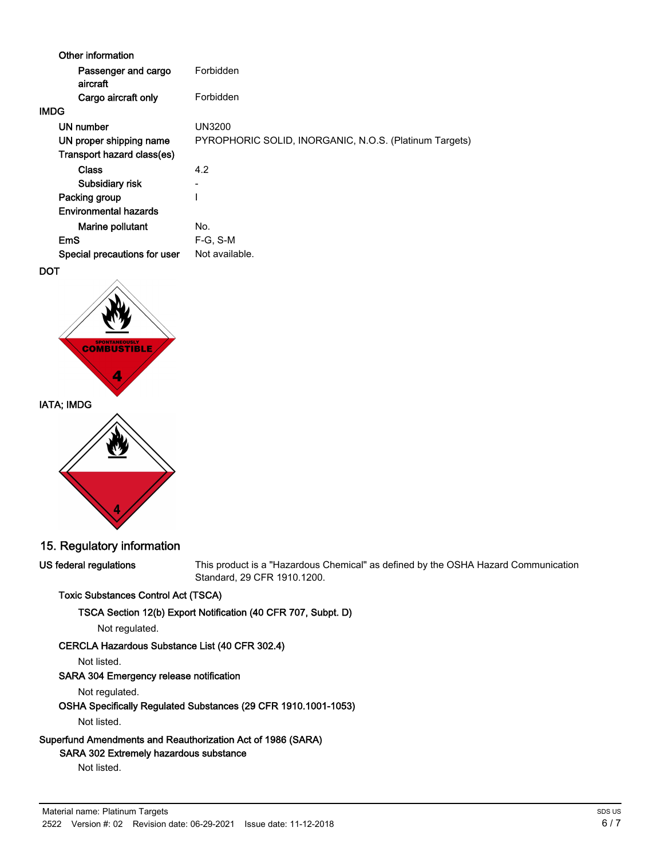| Other information               |                                                        |
|---------------------------------|--------------------------------------------------------|
| Passenger and cargo<br>aircraft | Forbidden                                              |
| Cargo aircraft only             | Forbidden                                              |
| <b>IMDG</b>                     |                                                        |
| UN number                       | UN3200                                                 |
| UN proper shipping name         | PYROPHORIC SOLID, INORGANIC, N.O.S. (Platinum Targets) |
| Transport hazard class(es)      |                                                        |
| <b>Class</b>                    | 4.2                                                    |
| Subsidiary risk                 |                                                        |
| Packing group                   |                                                        |
| <b>Environmental hazards</b>    |                                                        |
| Marine pollutant                | No.                                                    |
| EmS                             | $F-G. S-M$                                             |
| Special precautions for user    | Not available.                                         |
|                                 |                                                        |







## 15. Regulatory information

US federal regulations

This product is a "Hazardous Chemical" as defined by the OSHA Hazard Communication Standard, 29 CFR 1910.1200.

#### Toxic Substances Control Act (TSCA)

TSCA Section 12(b) Export Notification (40 CFR 707, Subpt. D)

Not regulated.

#### CERCLA Hazardous Substance List (40 CFR 302.4)

Not listed.

#### SARA 304 Emergency release notification

Not regulated.

## OSHA Specifically Regulated Substances (29 CFR 1910.1001-1053)

Not listed.

## Superfund Amendments and Reauthorization Act of 1986 (SARA)

## SARA 302 Extremely hazardous substance

Not listed.